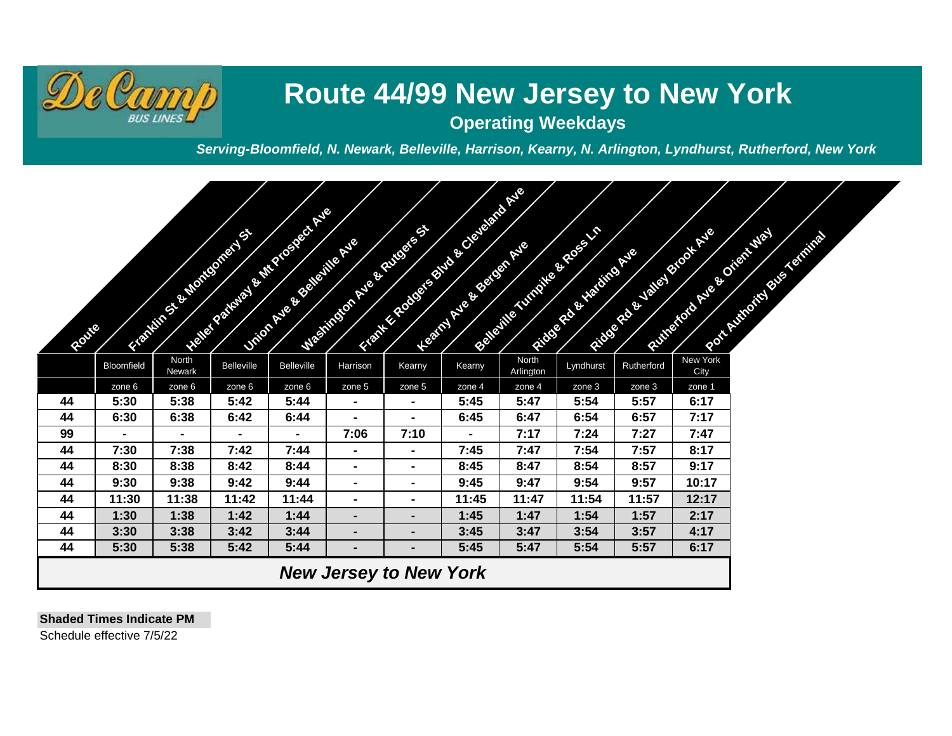

## **Route 44/99 New Jersey to New York**

**Operating Weekdays**

*Serving-Bloomfield, N. Newark, Belleville, Harrison, Kearny, N. Arlington, Lyndhurst, Rutherford, New York*

| Route |                               |                 | NEWS AT 2N OFFICE OF THE PICE OF THE O<br><b>ATTACHED BY BRIDGE OF BRIDGE</b> | <b>District of the Second Price Report</b> |                | <b>ANTISTICATION OF CALIFORNIA PROPERTY.</b><br><b>DESCRIPTION AND RESIDENCE</b> | <b>READY ASSESSMENT ROLL</b> |                    | <b>SOLUTION OF SCREEN</b><br>All to a catalogue Ave |            | Richards & Males Kook Ave<br><b>ANTIQUES CO. PRIMER DO CATALOGICA</b> | Accredit Cardinal Street, Square |  |
|-------|-------------------------------|-----------------|-------------------------------------------------------------------------------|--------------------------------------------|----------------|----------------------------------------------------------------------------------|------------------------------|--------------------|-----------------------------------------------------|------------|-----------------------------------------------------------------------|----------------------------------|--|
|       | Bloomfield                    | North<br>Newark | <b>Belleville</b>                                                             | <b>Belleville</b>                          | Harrison       | Kearny                                                                           | Kearny                       | North<br>Arlington | Lyndhurst                                           | Rutherford | New York<br>City                                                      |                                  |  |
|       | zone 6                        | zone 6          | zone 6                                                                        | zone 6                                     | zone 5         | zone 5                                                                           | zone 4                       | zone 4             | zone 3                                              | zone 3     | zone 1                                                                |                                  |  |
| 44    | 5:30                          | 5:38            | 5:42                                                                          | 5:44                                       | $\blacksquare$ | $\blacksquare$                                                                   | 5:45                         | 5:47               | 5:54                                                | 5:57       | 6:17                                                                  |                                  |  |
| 44    | 6:30                          | 6:38            | 6:42                                                                          | 6:44                                       |                | $\blacksquare$                                                                   | 6:45                         | 6:47               | 6:54                                                | 6:57       | 7:17                                                                  |                                  |  |
| 99    | $\blacksquare$                | $\blacksquare$  | $\blacksquare$                                                                | $\blacksquare$                             | 7:06           | 7:10                                                                             | $\blacksquare$               | 7:17               | 7:24                                                | 7:27       | 7:47                                                                  |                                  |  |
| 44    | 7:30                          | 7:38            | 7:42                                                                          | 7:44                                       | $\blacksquare$ | $\blacksquare$                                                                   | 7:45                         | 7:47               | 7:54                                                | 7:57       | 8:17                                                                  |                                  |  |
| 44    | 8:30                          | 8:38            | 8:42                                                                          | 8:44                                       | $\blacksquare$ | $\blacksquare$                                                                   | 8:45                         | 8:47               | 8:54                                                | 8:57       | 9:17                                                                  |                                  |  |
| 44    | 9:30                          | 9:38            | 9:42                                                                          | 9:44                                       | $\blacksquare$ | $\blacksquare$                                                                   | 9:45                         | 9:47               | 9:54                                                | 9:57       | 10:17                                                                 |                                  |  |
| 44    | 11:30                         | 11:38           | 11:42                                                                         | 11:44                                      | $\blacksquare$ | $\blacksquare$                                                                   | 11:45                        | 11:47              | 11:54                                               | 11:57      | 12:17                                                                 |                                  |  |
| 44    | 1:30                          | 1:38            | 1:42                                                                          | 1:44                                       | $\blacksquare$ | $\blacksquare$                                                                   | 1:45                         | 1:47               | 1:54                                                | 1:57       | 2:17                                                                  |                                  |  |
| 44    | 3:30                          | 3:38            | 3:42                                                                          | 3:44                                       | $\blacksquare$ | $\blacksquare$                                                                   | 3:45                         | 3:47               | 3:54                                                | 3:57       | 4:17                                                                  |                                  |  |
| 44    | 5:30                          | 5:38            | 5:42                                                                          | 5:44                                       | $\blacksquare$ | ٠                                                                                | 5:45                         | 5:47               | 5:54                                                | 5:57       | 6:17                                                                  |                                  |  |
|       | <b>New Jersey to New York</b> |                 |                                                                               |                                            |                |                                                                                  |                              |                    |                                                     |            |                                                                       |                                  |  |

**Shaded Times Indicate PM**

Schedule effective 7/5/22